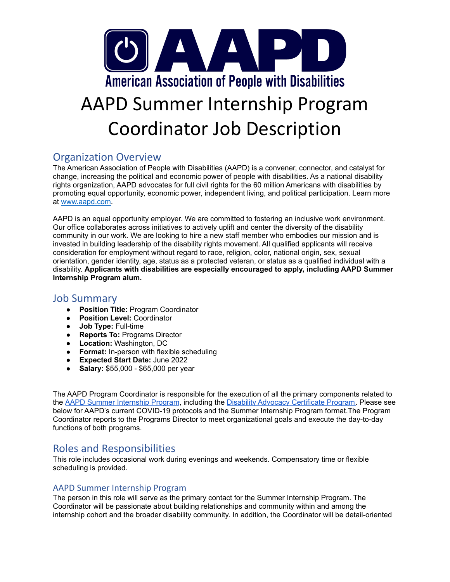

# AAPD Summer Internship Program Coordinator Job Description

### Organization Overview

The American Association of People with Disabilities (AAPD) is a convener, connector, and catalyst for change, increasing the political and economic power of people with disabilities. As a national disability rights organization, AAPD advocates for full civil rights for the 60 million Americans with disabilities by promoting equal opportunity, economic power, independent living, and political participation. Learn more at [www.aapd.com.](http://www.aapd.com)

AAPD is an equal opportunity employer. We are committed to fostering an inclusive work environment. Our office collaborates across initiatives to actively uplift and center the diversity of the disability community in our work. We are looking to hire a new staff member who embodies our mission and is invested in building leadership of the disability rights movement. All qualified applicants will receive consideration for employment without regard to race, religion, color, national origin, sex, sexual orientation, gender identity, age, status as a protected veteran, or status as a qualified individual with a disability. **Applicants with disabilities are especially encouraged to apply, including AAPD Summer Internship Program alum.**

#### Job Summary

- **Position Title:** Program Coordinator
- **Position Level:** Coordinator
- **Job Type:** Full-time
- **Reports To:** Programs Director
- **Location:** Washington, DC
- **● Format:** In-person with flexible scheduling
- **● Expected Start Date:** June 2022
- **Salary: \$55,000 \$65,000 per year**

The AAPD Program Coordinator is responsible for the execution of all the primary components related to the AAPD Summer [Internship](https://www.aapd.com/summer-internship-program/) Program, including the Disability Advocacy [Certificate](https://www.aapd.com/disability-advocacy-certificate-program/) Program. Please see below for AAPD's current COVID-19 protocols and the Summer Internship Program format.The Program Coordinator reports to the Programs Director to meet organizational goals and execute the day-to-day functions of both programs.

### Roles and Responsibilities

This role includes occasional work during evenings and weekends. Compensatory time or flexible scheduling is provided.

#### AAPD Summer Internship Program

The person in this role will serve as the primary contact for the Summer Internship Program. The Coordinator will be passionate about building relationships and community within and among the internship cohort and the broader disability community. In addition, the Coordinator will be detail-oriented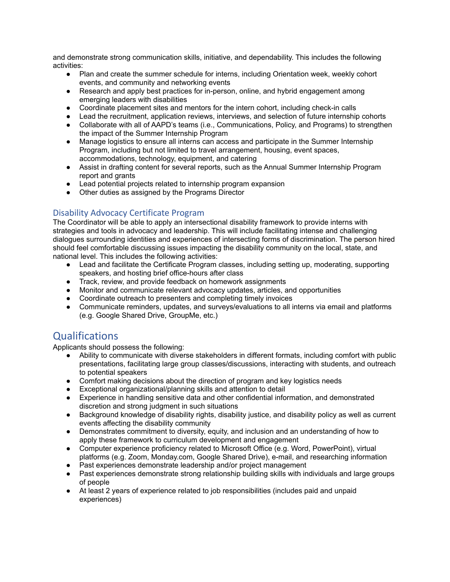and demonstrate strong communication skills, initiative, and dependability. This includes the following activities:

- Plan and create the summer schedule for interns, including Orientation week, weekly cohort events, and community and networking events
- Research and apply best practices for in-person, online, and hybrid engagement among emerging leaders with disabilities
- Coordinate placement sites and mentors for the intern cohort, including check-in calls
- Lead the recruitment, application reviews, interviews, and selection of future internship cohorts
- Collaborate with all of AAPD's teams (i.e., Communications, Policy, and Programs) to strengthen the impact of the Summer Internship Program
- Manage logistics to ensure all interns can access and participate in the Summer Internship Program, including but not limited to travel arrangement, housing, event spaces, accommodations, technology, equipment, and catering
- Assist in drafting content for several reports, such as the Annual Summer Internship Program report and grants
- Lead potential projects related to internship program expansion
- Other duties as assigned by the Programs Director

#### Disability Advocacy Certificate Program

The Coordinator will be able to apply an intersectional disability framework to provide interns with strategies and tools in advocacy and leadership. This will include facilitating intense and challenging dialogues surrounding identities and experiences of intersecting forms of discrimination. The person hired should feel comfortable discussing issues impacting the disability community on the local, state, and national level. This includes the following activities:

- Lead and facilitate the Certificate Program classes, including setting up, moderating, supporting speakers, and hosting brief office-hours after class
- Track, review, and provide feedback on homework assignments
- Monitor and communicate relevant advocacy updates, articles, and opportunities
- Coordinate outreach to presenters and completing timely invoices
- Communicate reminders, updates, and surveys/evaluations to all interns via email and platforms (e.g. Google Shared Drive, GroupMe, etc.)

### **Qualifications**

Applicants should possess the following:

- Ability to communicate with diverse stakeholders in different formats, including comfort with public presentations, facilitating large group classes/discussions, interacting with students, and outreach to potential speakers
- Comfort making decisions about the direction of program and key logistics needs
- Exceptional organizational/planning skills and attention to detail
- Experience in handling sensitive data and other confidential information, and demonstrated discretion and strong judgment in such situations
- Background knowledge of disability rights, disability justice, and disability policy as well as current events affecting the disability community
- Demonstrates commitment to diversity, equity, and inclusion and an understanding of how to apply these framework to curriculum development and engagement
- Computer experience proficiency related to Microsoft Office (e.g. Word, PowerPoint), virtual platforms (e.g. Zoom, Monday.com, Google Shared Drive), e-mail, and researching information
- Past experiences demonstrate leadership and/or project management
- Past experiences demonstrate strong relationship building skills with individuals and large groups of people
- At least 2 years of experience related to job responsibilities (includes paid and unpaid experiences)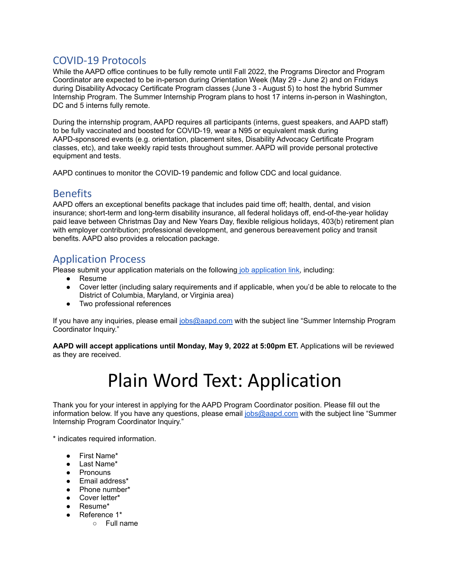### COVID-19 Protocols

While the AAPD office continues to be fully remote until Fall 2022, the Programs Director and Program Coordinator are expected to be in-person during Orientation Week (May 29 - June 2) and on Fridays during Disability Advocacy Certificate Program classes (June 3 - August 5) to host the hybrid Summer Internship Program. The Summer Internship Program plans to host 17 interns in-person in Washington, DC and 5 interns fully remote.

During the internship program, AAPD requires all participants (interns, guest speakers, and AAPD staff) to be fully vaccinated and boosted for COVID-19, wear a N95 or equivalent mask during AAPD-sponsored events (e.g. orientation, placement sites, Disability Advocacy Certificate Program classes, etc), and take weekly rapid tests throughout summer. AAPD will provide personal protective equipment and tests.

AAPD continues to monitor the COVID-19 pandemic and follow CDC and local guidance.

#### **Benefits**

AAPD offers an exceptional benefits package that includes paid time off; health, dental, and vision insurance; short-term and long-term disability insurance, all federal holidays off, end-of-the-year holiday paid leave between Christmas Day and New Years Day, flexible religious holidays, 403(b) retirement plan with employer contribution; professional development, and generous bereavement policy and transit benefits. AAPD also provides a relocation package.

## Application Process

Please submit your application materials on the following job [application](https://www.surveymonkey.com/r/GWJSVHY) link, including:

- Resume
- Cover letter (including salary requirements and if applicable, when you'd be able to relocate to the District of Columbia, Maryland, or Virginia area)
- Two professional references

If you have any inquiries, please email [jobs@aapd.com](mailto:jobs@aapd.com) with the subject line "Summer Internship Program Coordinator Inquiry."

**AAPD will accept applications until Monday, May 9, 2022 at 5:00pm ET.** Applications will be reviewed as they are received.

## Plain Word Text: Application

Thank you for your interest in applying for the AAPD Program Coordinator position. Please fill out the information below. If you have any questions, please email [jobs@aapd.com](mailto:jobs@aapd.com) with the subject line "Summer Internship Program Coordinator Inquiry."

\* indicates required information.

- First Name\*
- Last Name\*
- Pronouns
- Email address\*
- Phone number\*
- Cover letter\*
- Resume\*
- Reference 1\*
	- Full name